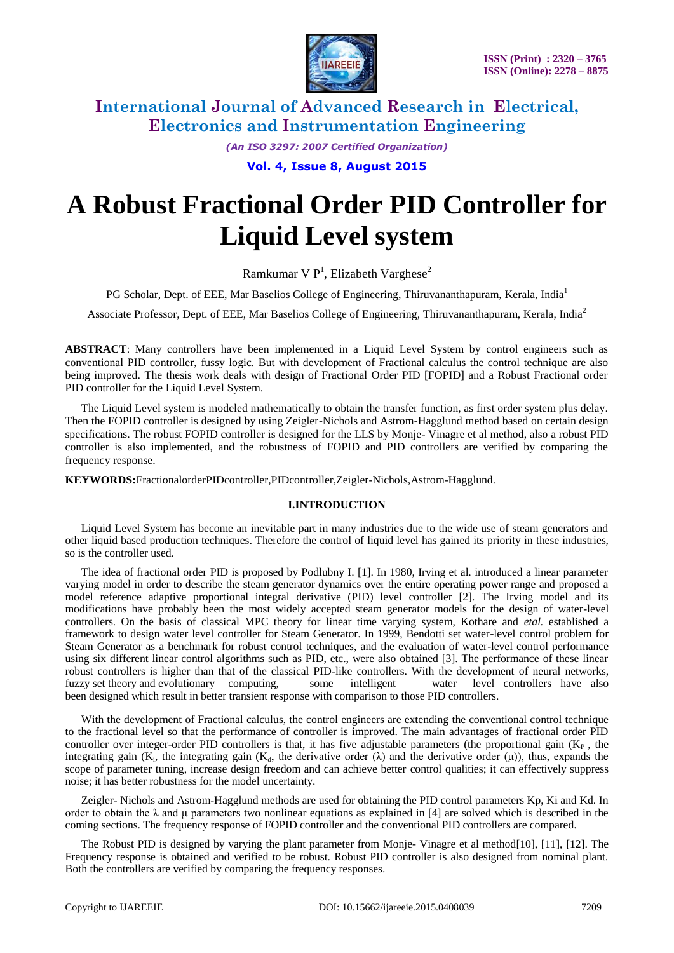

*(An ISO 3297: 2007 Certified Organization)*

**Vol. 4, Issue 8, August 2015**

# **A Robust Fractional Order PID Controller for Liquid Level system**

Ramkumar V  $P<sup>1</sup>$ , Elizabeth Varghese<sup>2</sup>

PG Scholar, Dept. of EEE, Mar Baselios College of Engineering, Thiruvananthapuram, Kerala, India<sup>1</sup>

Associate Professor, Dept. of EEE, Mar Baselios College of Engineering*,* Thiruvananthapuram, Kerala, India<sup>2</sup>

**ABSTRACT**: Many controllers have been implemented in a Liquid Level System by control engineers such as conventional PID controller, fussy logic. But with development of Fractional calculus the control technique are also being improved. The thesis work deals with design of Fractional Order PID [FOPID] and a Robust Fractional order PID controller for the Liquid Level System.

The Liquid Level system is modeled mathematically to obtain the transfer function, as first order system plus delay. Then the FOPID controller is designed by using Zeigler-Nichols and Astrom-Hagglund method based on certain design specifications. The robust FOPID controller is designed for the LLS by Monje- Vinagre et al method, also a robust PID controller is also implemented, and the robustness of FOPID and PID controllers are verified by comparing the frequency response.

**KEYWORDS:**FractionalorderPIDcontroller,PIDcontroller,Zeigler-Nichols,Astrom-Hagglund.

#### **I.INTRODUCTION**

Liquid Level System has become an inevitable part in many industries due to the wide use of steam generators and other liquid based production techniques. Therefore the control of liquid level has gained its priority in these industries, so is the controller used.

The idea of fractional order PID is proposed by Podlubny I. [1]. In 1980, Irving et al. introduced a linear parameter varying model in order to describe the steam generator dynamics over the entire operating power range and proposed a model reference adaptive proportional integral derivative (PID) level controller [2]. The Irving model and its modifications have probably been the most widely accepted steam generator models for the design of water-level controllers. On the basis of classical MPC theory for linear time varying system, Kothare and *etal.* established a framework to design water level controller for Steam Generator. In 1999, Bendotti set water-level control problem for Steam Generator as a benchmark for robust control techniques, and the evaluation of water-level control performance using six different linear control algorithms such as PID, etc., were also obtained [3]. The performance of these linear robust controllers is higher than that of the classical PID-like controllers. With the development of neural networks, fuzzy set theory and evolutionary computing, some intelligent water level controllers have also been designed which result in better transient response with comparison to those PID controllers.

With the development of Fractional calculus, the control engineers are extending the conventional control technique to the fractional level so that the performance of controller is improved. The main advantages of fractional order PID controller over integer-order PID controllers is that, it has five adjustable parameters (the proportional gain  $(K_{P}$ , the integrating gain (K<sub>i</sub>, the integrating gain (K<sub>d</sub>, the derivative order ( $\lambda$ ) and the derivative order ( $\mu$ )), thus, expands the scope of parameter tuning, increase design freedom and can achieve better control qualities; it can effectively suppress noise; it has better robustness for the model uncertainty.

Zeigler- Nichols and Astrom-Hagglund methods are used for obtaining the PID control parameters Kp, Ki and Kd. In order to obtain the  $\lambda$  and  $\mu$  parameters two nonlinear equations as explained in [4] are solved which is described in the coming sections. The frequency response of FOPID controller and the conventional PID controllers are compared.

The Robust PID is designed by varying the plant parameter from Monje- Vinagre et al method[10], [11], [12]. The Frequency response is obtained and verified to be robust. Robust PID controller is also designed from nominal plant. Both the controllers are verified by comparing the frequency responses.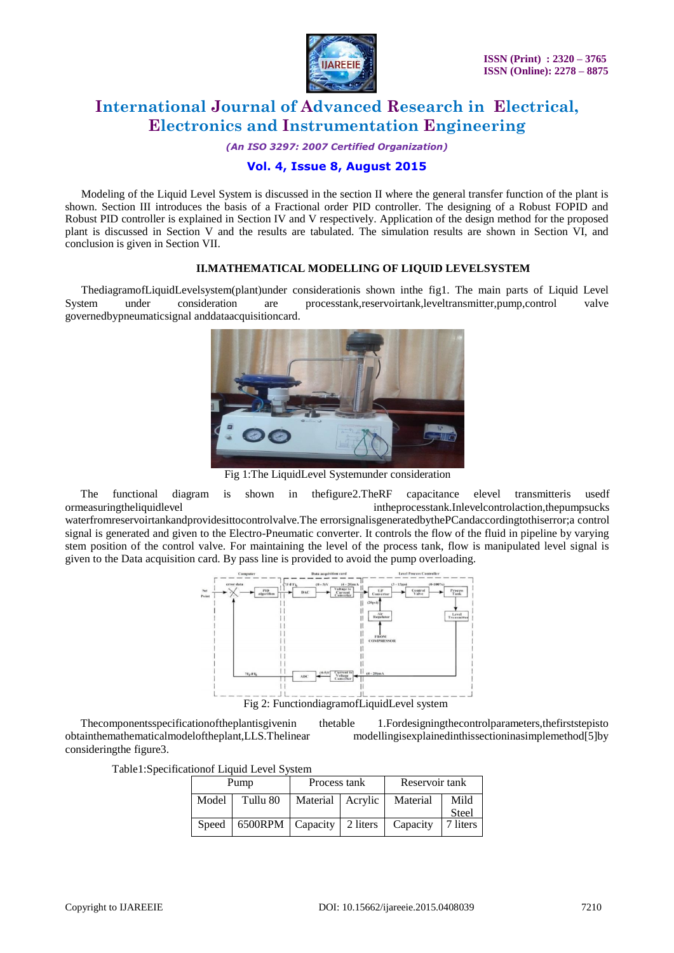

*(An ISO 3297: 2007 Certified Organization)*

### **Vol. 4, Issue 8, August 2015**

Modeling of the Liquid Level System is discussed in the section II where the general transfer function of the plant is shown. Section III introduces the basis of a Fractional order PID controller. The designing of a Robust FOPID and Robust PID controller is explained in Section IV and V respectively. Application of the design method for the proposed plant is discussed in Section V and the results are tabulated. The simulation results are shown in Section VI, and conclusion is given in Section VII.

### **II.MATHEMATICAL MODELLING OF LIQUID LEVELSYSTEM**

ThediagramofLiquidLevelsystem(plant)under considerationis shown inthe fig1. The main parts of Liquid Level System under consideration are processtank,reservoirtank,leveltransmitter,pump,control valve governedbypneumaticsignal anddataacquisitioncard.



Fig 1:The LiquidLevel Systemunder consideration

The functional diagram is shown in thefigure2.TheRF capacitance elevel transmitteris usedf ormeasuringtheliquidlevel intheprocesstank.Inlevelcontrolaction,thepumpsucks waterfromreservoirtankandprovidesittocontrolvalve.The errorsignalisgeneratedbythePCandaccordingtothiserror;a control signal is generated and given to the Electro-Pneumatic converter. It controls the flow of the fluid in pipeline by varying stem position of the control valve. For maintaining the level of the process tank, flow is manipulated level signal is given to the Data acquisition card. By pass line is provided to avoid the pump overloading.



Fig 2: FunctiondiagramofLiquidLevel system

Thecomponentsspecificationoftheplantisgivenin thetable 1.Fordesigningthecontrolparameters,thefirststepisto obtainthemathematicalmodeloftheplant,LLS.Thelinear modellingisexplainedinthissectioninasimplemethod[5]by consideringthe figure3.

Table1:Specificationof Liquid Level System

| Pump  |                                  | Process tank       |  | Reservoir tank |                   |
|-------|----------------------------------|--------------------|--|----------------|-------------------|
| Model | Tullu 80                         | Material   Acrylic |  | Material       | Mild              |
| Speed | $6500$ RPM   Capacity   2 liters |                    |  | Capacity       | Steel<br>7 liters |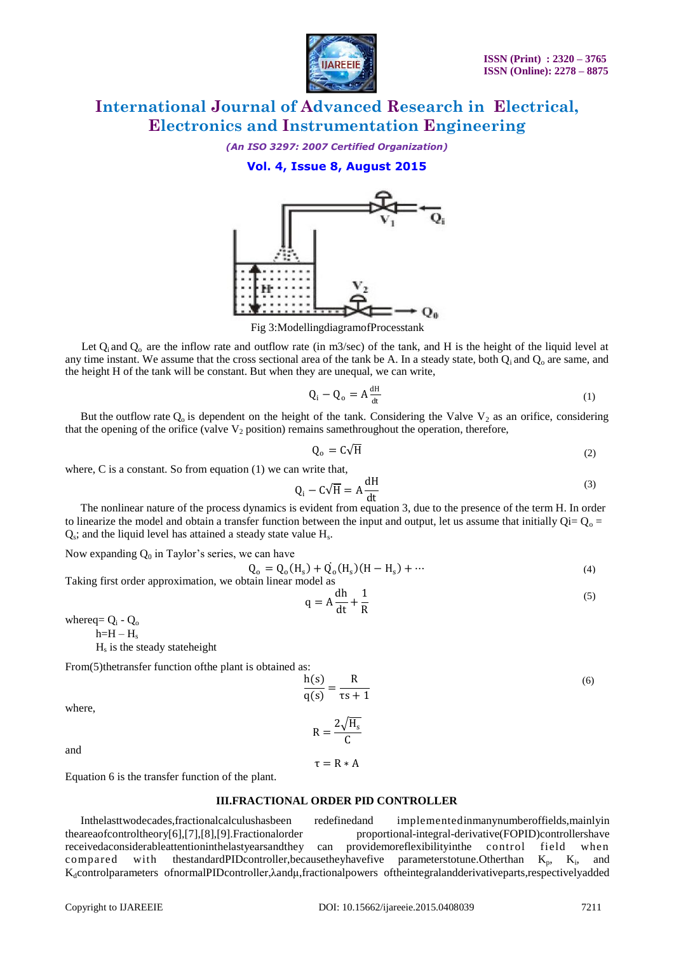

*(An ISO 3297: 2007 Certified Organization)*

**Vol. 4, Issue 8, August 2015**



Fig 3:ModellingdiagramofProcesstank

Let  $Q_i$  and  $Q_o$  are the inflow rate and outflow rate (in m3/sec) of the tank, and H is the height of the liquid level at any time instant. We assume that the cross sectional area of the tank be A. In a steady state, both  $Q_i$  and  $Q_o$  are same, and the height H of the tank will be constant. But when they are unequal, we can write,

$$
Q_i - Q_o = A \frac{dH}{dt}
$$
 (1)

But the outflow rate  $Q_0$  is dependent on the height of the tank. Considering the Valve  $V_2$  as an orifice, considering that the opening of the orifice (valve  $V_2$  position) remains samethroughout the operation, therefore,

$$
Q_o = C\sqrt{H}
$$
 (2)

where, C is a constant. So from equation (1) we can write that,

$$
Q_i - C\sqrt{H} = A\frac{dH}{dt}
$$
 (3)

The nonlinear nature of the process dynamics is evident from equation 3, due to the presence of the term H. In order to linearize the model and obtain a transfer function between the input and output, let us assume that initially  $Q_i = Q_0 =$  $Q_s$ ; and the liquid level has attained a steady state value  $H_s$ .

Now expanding  $Q_0$  in Taylor's series, we can have

$$
Q_o = Q_o(H_s) + Q_o(H_s)(H - H_s) + \cdots
$$
\n(4)

Taking first order approximation, we obtain linear model as

$$
q = A \frac{dh}{dt} + \frac{1}{R}
$$
 (5)

where  $q = Q_i - Q_o$ 

 $h=H-H<sub>s</sub>$ 

 $H<sub>s</sub>$  is the steady stateheight

From(5)thetransfer function of the plant is obtained as:

$$
\frac{h(s)}{q(s)} = \frac{R}{\tau s + 1}
$$
\n(6)

where,

$$
R = \frac{2\sqrt{H_s}}{C}
$$

and

$$
\tau = R * A
$$

Equation 6 is the transfer function of the plant.

#### **III.FRACTIONAL ORDER PID CONTROLLER**

Inthelasttwodecades,fractionalcalculushasbeen redefinedand implementedinmanynumberoffields,mainlyin theareaofcontroltheory[6],[7],[8],[9].Fractionalorder proportional-integral-derivative(FOPID)controllershave receivedaconsiderableattentioninthelastyearsandthey can providemoreflexibilityinthe control field when compared with thestandardPIDcontroller, because they have five parameters to tune. Other than  $K_p$ ,  $K_i$ , and K<sub>d</sub>controlparameters ofnormalPIDcontroller,λandμ,fractionalpowers oftheintegralandderivativeparts,respectivelyadded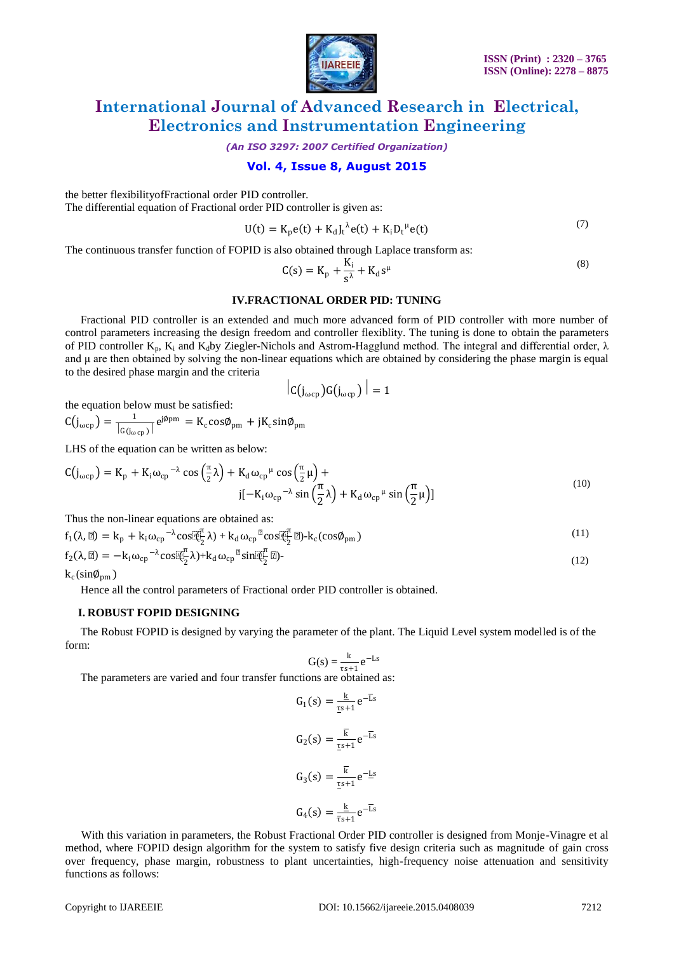

*(An ISO 3297: 2007 Certified Organization)*

### **Vol. 4, Issue 8, August 2015**

the better flexibilityofFractional order PID controller. The differential equation of Fractional order PID controller is given as:

$$
U(t) = K_p e(t) + K_d J_t^{\lambda} e(t) + K_i D_t^{\mu} e(t)
$$
\n(7)

The continuous transfer function of FOPID is also obtained through Laplace transform as:

$$
C(s) = K_p + \frac{K_i}{s^{\lambda}} + K_d s^{\mu}
$$
\n(8)

#### **IV.FRACTIONAL ORDER PID: TUNING**

Fractional PID controller is an extended and much more advanced form of PID controller with more number of control parameters increasing the design freedom and controller flexiblity. The tuning is done to obtain the parameters of PID controller K<sub>p</sub>, K<sub>i</sub> and K<sub>d</sub>by Ziegler-Nichols and Astrom-Hagglund method. The integral and differential order,  $\lambda$ and μ are then obtained by solving the non-linear equations which are obtained by considering the phase margin is equal to the desired phase margin and the criteria

$$
|C(j_{\omega cp})G(j_{\omega cp})| = 1
$$

the equation below must be satisfied:

 $C(j_{\omega cp}) = \frac{1}{\log n}$  $\frac{1}{|G(j_{\omega cp})|}e^{j\phi pm} = K_c \cos\phi_{pm} + jK_c \sin\phi_{pm}$ 

LHS of the equation can be written as below:

$$
C(j_{\omega cp}) = K_p + K_i \omega_{cp}^{-\lambda} \cos\left(\frac{\pi}{2}\lambda\right) + K_d \omega_{cp}^{\mu} \cos\left(\frac{\pi}{2}\mu\right) +
$$
  
 
$$
j[-K_i \omega_{cp}^{-\lambda} \sin\left(\frac{\pi}{2}\lambda\right) + K_d \omega_{cp}^{\mu} \sin\left(\frac{\pi}{2}\mu\right)]
$$
 (10)

Thus the non-linear equations are obtained as:

$$
f_1(\lambda, \mu) = k_p + k_i \omega_{cp}^{-\lambda} \cos \tilde{\mathbb{E}}_2^{\mathbb{E}} \lambda) + k_d \omega_{cp}^{\mu} \cos \tilde{\mathbb{E}}_2^{\mathbb{E}} \mu) - k_c (\cos \phi_{pm})
$$
\n(11)

$$
f_2(\lambda, \mu) = -k_i \omega_{cp}^{-\lambda} \cos \ddot{x}^{\pi}_{\zeta_2} \lambda + k_d \omega_{cp}^{\mu} \sin \ddot{x}^{\pi}_{\zeta_2} \mu)
$$
\n(12)

 $k_c(\sin\phi_{pm})$ 

Hence all the control parameters of Fractional order PID controller is obtained.

#### **I. ROBUST FOPID DESIGNING**

The Robust FOPID is designed by varying the parameter of the plant. The Liquid Level system modelled is of the form:

$$
G(s) = \frac{k}{\pi s} e^{-Ls}
$$

The parameters are varied and four transfer functions are obtained as:

$$
G_1(s) = \frac{\underline{k}}{\underline{ts} + 1} e^{-\overline{L}s}
$$
  
\n
$$
G_2(s) = \frac{\overline{k}}{\underline{ts} + 1} e^{-\overline{L}s}
$$
  
\n
$$
G_3(s) = \frac{\overline{k}}{\underline{ts} + 1} e^{-\underline{L}s}
$$
  
\n
$$
G_4(s) = \frac{\underline{k}}{\overline{ts} + 1} e^{-\overline{L}s}
$$

With this variation in parameters, the Robust Fractional Order PID controller is designed from Monje-Vinagre et al method, where FOPID design algorithm for the system to satisfy five design criteria such as magnitude of gain cross over frequency, phase margin, robustness to plant uncertainties, high-frequency noise attenuation and sensitivity functions as follows: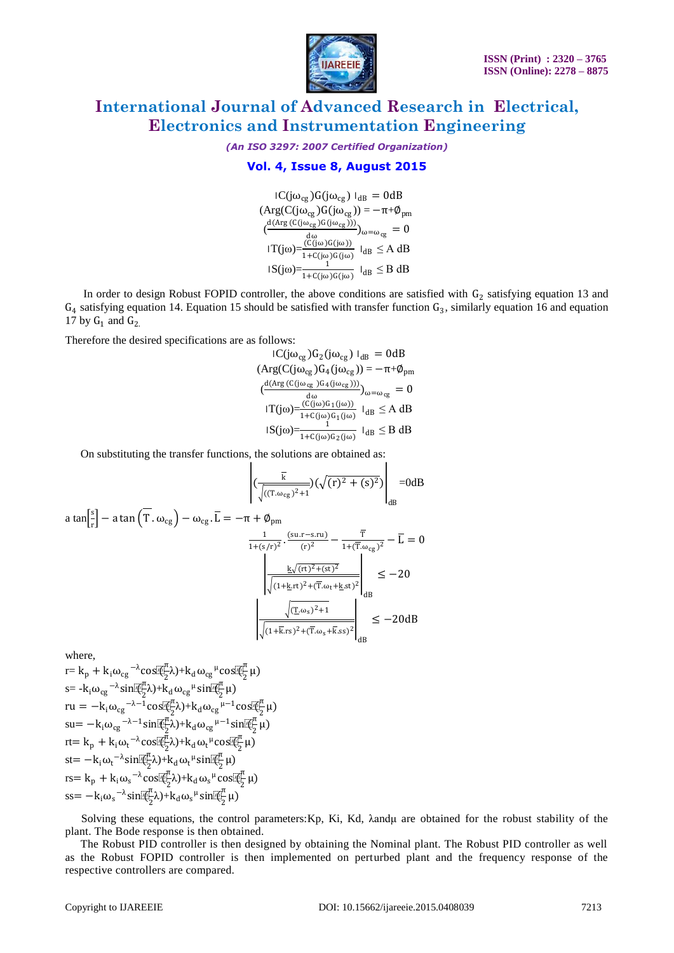

*(An ISO 3297: 2007 Certified Organization)*

### **Vol. 4, Issue 8, August 2015**

$$
\begin{array}{c} \text{IC}(j\omega_{\text{cg}})G(j\omega_{\text{cg}})\text{ }I_{\text{dB}}=0\text{dB} \\ (Arg(C(j\omega_{\text{cg}})G(j\omega_{\text{cg}}))=-\pi+\phi_{pm} \\ (\frac{d(\text{Arg}(C(j\omega_{\text{cg}})G(j\omega_{\text{cg}})))}{d\omega}-\omega_{\text{cg}}=0 \\ \text{ } |\text{T}(j\omega)=\frac{(C(j\omega)G(j\omega)}{1+C(j\omega)G(j\omega)}\text{ }I_{\text{dB}}\leq A\text{ }dB \\ \text{ } |S(j\omega)=\frac{1}{1+C(j\omega)G(j\omega)}\text{ }I_{\text{dB}}\leq B\text{ }dB \end{array}
$$

In order to design Robust FOPID controller, the above conditions are satisfied with  $G_2$  satisfying equation 13 and  $G_4$  satisfying equation 14. Equation 15 should be satisfied with transfer function  $G_3$ , similarly equation 16 and equation 17 by  $G_1$  and  $G_2$ .

Therefore the desired specifications are as follows:

$$
\begin{array}{c} \text{IC}(j\omega_{cg})G_2(j\omega_{cg})\text{ }I_{dB}=0dB \\ (Arg(C(j\omega_{cg})G_4(j\omega_{cg}))=-\pi+\phi_{pm} \\ (\frac{d(\text{Arg}(C(j\omega_{cg})G_4(j\omega_{cg})))}{d\omega})_{\omega=\omega_{cg}}=0 \\[1mm] \text{ } |\text{T}(j\omega){=}\frac{(C(j\omega)G_1(j\omega))}{1+C(j\omega)G_1(j\omega)}\text{ }I_{dB}\leq A\text{ }dB \\[1mm] \text{ } |\text{ } S(j\omega){=}\frac{1}{1+C(j\omega)G_2(j\omega)}\text{ }I_{dB}\leq B\text{ }dB \end{array}
$$

On substituting the transfer functions, the solutions are obtained as:

$$
\left| \left( \frac{\overline{\kappa}}{\sqrt{\left( (\text{T}.\omega_{cg})^2 + 1} \right)} (\sqrt{(\text{r})^2 + (\text{s})^2}) \right|_{\text{dB}} = 0 \text{dB}
$$

 $\frac{1}{1+(\overline{T}.\omega_{cg})^2} - L = 0$ 

$$
a \tan\left[\frac{s}{r}\right] - a \tan\left(\overline{T}, \omega_{cg}\right) - \omega_{cg} \cdot \overline{L} = -\pi + \phi_{pm}
$$
\n
$$
\frac{1}{1 + (s/r)^2} \cdot \frac{(s u.r - s.r u)}{(r)^2} - \frac{\overline{T}}{1 + (\overline{T} \cdot \alpha)} \cdot \frac{(s u.r - s.r u)}{(r)^2 + (st)^2}
$$

$$
\left| \frac{\frac{k\sqrt{(rt)^2 + (st)^2}}{\sqrt{(1 + k.r t)^2 + (\overline{T}.\omega_t + k_s st)^2}} \right|_{dB} \le -20
$$
  

$$
\left| \frac{\sqrt{(T.\omega_s)^2 + 1}}{\sqrt{(1 + k.r s)^2 + (\overline{T}.\omega_s + k.s s)^2}} \right|_{dB} \le -20 dB
$$

where,

r= k<sup>p</sup> + kiωcg −λ cos( π 2 λ)+kdωcg μ cos( π 2 μ) s= -kiωcg −λ sin( π 2 λ)+kdωcg μ sin( π 2 μ) ru = −kiωcg −λ−1 cos( π 2 λ)+kdωcg μ−1 cos( π 2 μ) su= −kiωcg −λ−1 sin( π 2 λ)+kdωcg μ−1 sin( π 2 μ) rt= k<sup>p</sup> + kiω<sup>t</sup> −λ cos( π 2 λ)+kdω<sup>t</sup> μ cos( π 2 μ) st= −kiω<sup>t</sup> −λ sin( π 2 λ)+kdω<sup>t</sup> μ sin( π 2 μ) rs= k<sup>p</sup> + kiω<sup>s</sup> −λ cos( π 2 λ)+kdω<sup>s</sup> μ cos( π 2 μ) ss= −kiω<sup>s</sup> −λ sin( π 2 λ)+kdω<sup>s</sup> μ sin( π 2 μ)

Solving these equations, the control parameters:Kp, Ki, Kd, λandμ are obtained for the robust stability of the plant. The Bode response is then obtained.

The Robust PID controller is then designed by obtaining the Nominal plant. The Robust PID controller as well as the Robust FOPID controller is then implemented on perturbed plant and the frequency response of the respective controllers are compared.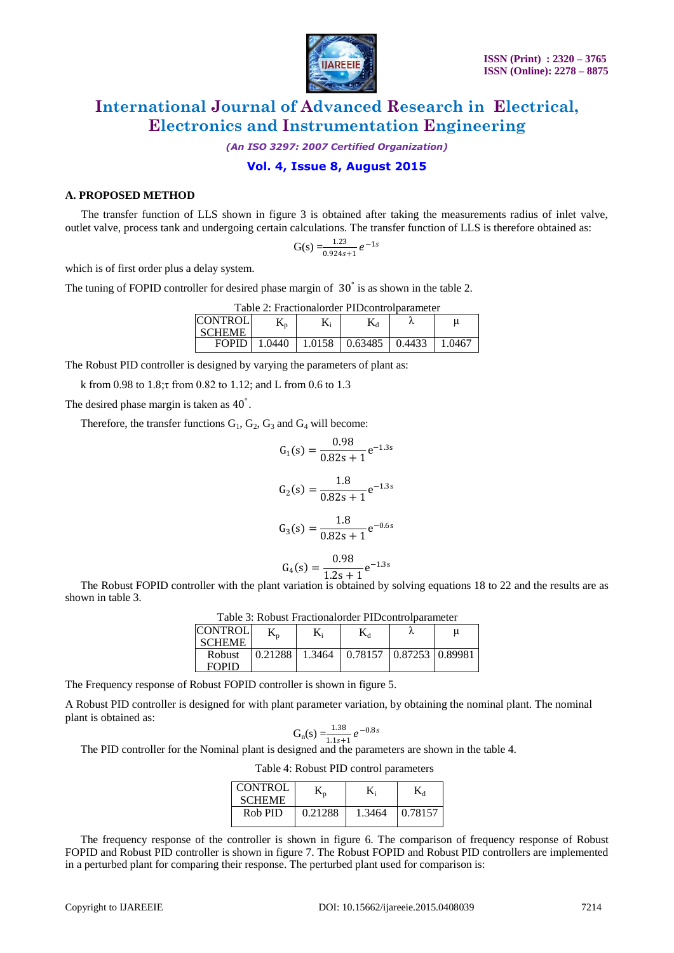

*(An ISO 3297: 2007 Certified Organization)*

### **Vol. 4, Issue 8, August 2015**

### **A. PROPOSED METHOD**

The transfer function of LLS shown in figure 3 is obtained after taking the measurements radius of inlet valve, outlet valve, process tank and undergoing certain calculations. The transfer function of LLS is therefore obtained as:

$$
G(s) = \frac{1.23}{0.924s + 1} e^{-1s}
$$

which is of first order plus a delay system.

The tuning of FOPID controller for desired phase margin of  $30^{\circ}$  is as shown in the table 2.

| Table 2: Fractional order PID control parameter |        |        |                    |  |        |  |
|-------------------------------------------------|--------|--------|--------------------|--|--------|--|
| ICONTROL                                        |        |        |                    |  | u      |  |
| <b>SCHEME</b>                                   |        |        |                    |  |        |  |
| <b>FOPID</b>                                    | 1 0440 | 1.0158 | $0.63485$   0.4433 |  | 1 0467 |  |

The Robust PID controller is designed by varying the parameters of plant as:

k from 0.98 to 1.8;τ from 0.82 to 1.12; and L from 0.6 to 1.3

The desired phase margin is taken as  $40^\circ$ .

Therefore, the transfer functions  $G_1$ ,  $G_2$ ,  $G_3$  and  $G_4$  will become:

$$
G_1(s) = \frac{0.98}{0.82s + 1} e^{-1.3s}
$$

$$
G_2(s) = \frac{1.8}{0.82s + 1} e^{-1.3s}
$$

$$
G_3(s) = \frac{1.8}{0.82s + 1} e^{-0.6s}
$$

$$
G_4(s) = \frac{0.98}{1.2s + 1} e^{-1.3s}
$$

The Robust FOPID controller with the plant variation is obtained by solving equations 18 to 22 and the results are as shown in table 3.

| Table 3: Robust Fractional order PID control parameter |  |                    |                                              |  |  |  |
|--------------------------------------------------------|--|--------------------|----------------------------------------------|--|--|--|
| <b>CONTROL</b>                                         |  |                    | $K_d$                                        |  |  |  |
| <b>SCHEME</b>                                          |  |                    |                                              |  |  |  |
| <b>Robust</b>                                          |  | $0.21288$   1.3464 | $\mid$ 0.78157 $\mid$ 0.87253 $\mid$ 0.89981 |  |  |  |
| FOPID                                                  |  |                    |                                              |  |  |  |

The Frequency response of Robust FOPID controller is shown in figure 5.

A Robust PID controller is designed for with plant parameter variation, by obtaining the nominal plant. The nominal plant is obtained as:

$$
G_n(s) = \frac{1.38}{1.1s+1} e^{-0.8s}
$$

The PID controller for the Nominal plant is designed and the parameters are shown in the table 4.

| Table 4: Robust PID control parameters |  |  |
|----------------------------------------|--|--|
|----------------------------------------|--|--|

| <b>CONTROL</b><br><b>SCHEME</b> |         | K,     |         |
|---------------------------------|---------|--------|---------|
| Rob PID                         | 0.21288 | 1.3464 | 0.78157 |

The frequency response of the controller is shown in figure 6. The comparison of frequency response of Robust FOPID and Robust PID controller is shown in figure 7. The Robust FOPID and Robust PID controllers are implemented in a perturbed plant for comparing their response. The perturbed plant used for comparison is: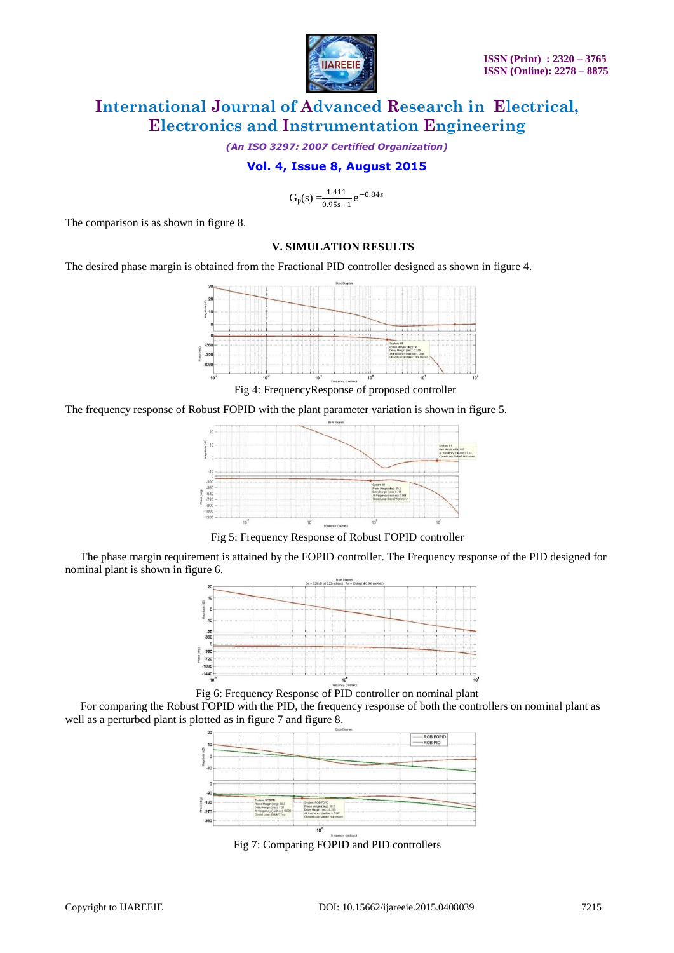

*(An ISO 3297: 2007 Certified Organization)*

### **Vol. 4, Issue 8, August 2015**

$$
G_p(s) = \frac{1.411}{0.95s + 1} e^{-0.84s}
$$

The comparison is as shown in figure 8.

#### **V. SIMULATION RESULTS**

The desired phase margin is obtained from the Fractional PID controller designed as shown in figure 4.



Fig 4: FrequencyResponse of proposed controller

The frequency response of Robust FOPID with the plant parameter variation is shown in figure 5.



Fig 5: Frequency Response of Robust FOPID controller

The phase margin requirement is attained by the FOPID controller. The Frequency response of the PID designed for nominal plant is shown in figure 6.



Fig 6: Frequency Response of PID controller on nominal plant

For comparing the Robust FOPID with the PID, the frequency response of both the controllers on nominal plant as well as a perturbed plant is plotted as in figure 7 and figure 8.



Fig 7: Comparing FOPID and PID controllers